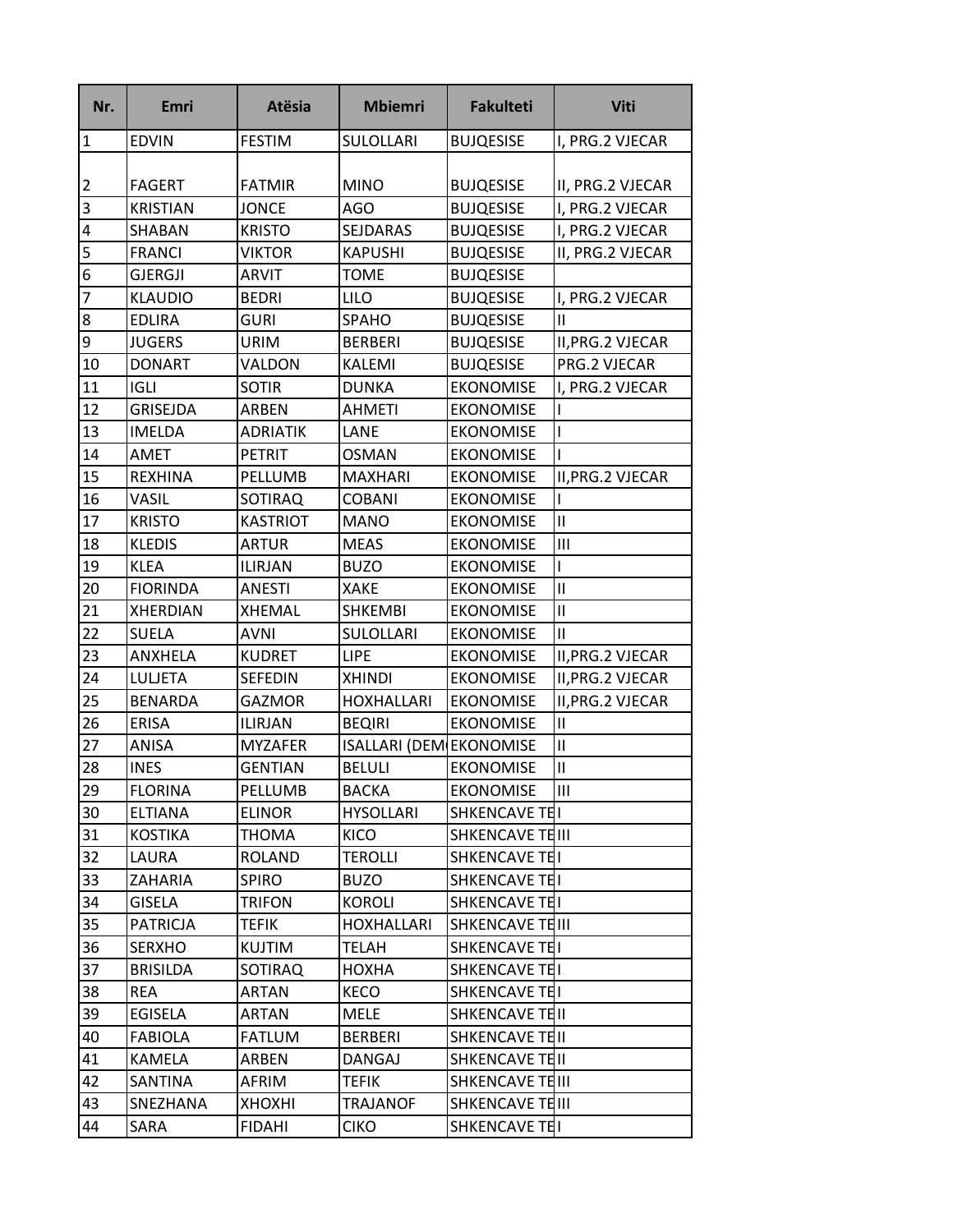| Nr.             | <b>Emri</b>     | <b>Atësia</b>   | <b>Mbiemri</b>                 | <b>Fakulteti</b> | <b>Viti</b>       |
|-----------------|-----------------|-----------------|--------------------------------|------------------|-------------------|
| $\overline{1}$  | <b>EDVIN</b>    | <b>FESTIM</b>   | SULOLLARI                      | <b>BUJQESISE</b> | I, PRG.2 VJECAR   |
|                 |                 |                 |                                |                  |                   |
| $\overline{2}$  | <b>FAGERT</b>   | <b>FATMIR</b>   | <b>MINO</b>                    | <b>BUJQESISE</b> | II, PRG.2 VJECAR  |
| $\overline{3}$  | <b>KRISTIAN</b> | <b>JONCE</b>    | AGO                            | <b>BUJQESISE</b> | I, PRG.2 VJECAR   |
| $\overline{4}$  | SHABAN          | <b>KRISTO</b>   | SEJDARAS                       | <b>BUJQESISE</b> | I, PRG.2 VJECAR   |
| 5               | <b>FRANCI</b>   | <b>VIKTOR</b>   | <b>KAPUSHI</b>                 | <b>BUJQESISE</b> | II, PRG.2 VJECAR  |
| $6\overline{6}$ | <b>GJERGJI</b>  | <b>ARVIT</b>    | <b>TOME</b>                    | <b>BUJQESISE</b> |                   |
| $\overline{7}$  | <b>KLAUDIO</b>  | <b>BEDRI</b>    | <b>LILO</b>                    | <b>BUJQESISE</b> | I, PRG.2 VJECAR   |
| $\overline{8}$  | <b>EDLIRA</b>   | <b>GURI</b>     | SPAHO                          | <b>BUJQESISE</b> | Ш                 |
| $\overline{9}$  | <b>JUGERS</b>   | <b>URIM</b>     | <b>BERBERI</b>                 | <b>BUJQESISE</b> | II, PRG. 2 VJECAR |
| 10              | <b>DONART</b>   | VALDON          | KALEMI                         | <b>BUJQESISE</b> | PRG.2 VJECAR      |
| 11              | <b>IGLI</b>     | <b>SOTIR</b>    | <b>DUNKA</b>                   | <b>EKONOMISE</b> | I, PRG.2 VJECAR   |
| 12              | GRISEJDA        | <b>ARBEN</b>    | <b>AHMETI</b>                  | <b>EKONOMISE</b> |                   |
| 13              | <b>IMELDA</b>   | <b>ADRIATIK</b> | LANE                           | <b>EKONOMISE</b> |                   |
| 14              | AMET            | <b>PETRIT</b>   | <b>OSMAN</b>                   | <b>EKONOMISE</b> |                   |
| 15              | <b>REXHINA</b>  | PELLUMB         | <b>MAXHARI</b>                 | <b>EKONOMISE</b> | II, PRG. 2 VJECAR |
| 16              | VASIL           | <b>SOTIRAQ</b>  | <b>COBANI</b>                  | <b>EKONOMISE</b> |                   |
| 17              | <b>KRISTO</b>   | <b>KASTRIOT</b> | <b>MANO</b>                    | <b>EKONOMISE</b> | $\mathbf{I}$      |
| 18              | <b>KLEDIS</b>   | <b>ARTUR</b>    | <b>MEAS</b>                    | <b>EKONOMISE</b> | Ш                 |
| 19              | <b>KLEA</b>     | <b>ILIRJAN</b>  | <b>BUZO</b>                    | <b>EKONOMISE</b> |                   |
| 20              | <b>FIORINDA</b> | <b>ANESTI</b>   | <b>XAKE</b>                    | <b>EKONOMISE</b> | $\mathsf{I}$      |
| 21              | <b>XHERDIAN</b> | <b>XHEMAL</b>   | <b>SHKEMBI</b>                 | <b>EKONOMISE</b> | Ш                 |
| 22              | <b>SUELA</b>    | <b>AVNI</b>     | <b>SULOLLARI</b>               | <b>EKONOMISE</b> | $\mathbf{H}$      |
| 23              | ANXHELA         | <b>KUDRET</b>   | <b>LIPE</b>                    | <b>EKONOMISE</b> | II, PRG. 2 VJECAR |
| 24              | <b>LULJETA</b>  | <b>SEFEDIN</b>  | <b>XHINDI</b>                  | <b>EKONOMISE</b> | II, PRG. 2 VJECAR |
| 25              | <b>BENARDA</b>  | <b>GAZMOR</b>   | <b>HOXHALLARI</b>              | <b>EKONOMISE</b> | II, PRG. 2 VJECAR |
| 26              | <b>ERISA</b>    | <b>ILIRJAN</b>  | <b>BEQIRI</b>                  | <b>EKONOMISE</b> | Ш                 |
| 27              | ANISA           | <b>MYZAFER</b>  | <b>ISALLARI (DEM EKONOMISE</b> |                  | $\mathbf{I}$      |
| 28              | <b>INES</b>     | <b>GENTIAN</b>  | <b>BELULI</b>                  | <b>EKONOMISE</b> | Ш                 |
| 29              | <b>FLORINA</b>  | PELLUMB         | <b>BACKA</b>                   | <b>EKONOMISE</b> | Ш                 |
| 30              | <b>ELTIANA</b>  | <b>ELINOR</b>   | <b>HYSOLLARI</b>               | SHKENCAVE TEI    |                   |
| 31              | <b>KOSTIKA</b>  | <b>THOMA</b>    | KICO                           | SHKENCAVE TEIII  |                   |
| 32              | LAURA           | <b>ROLAND</b>   | <b>TEROLLI</b>                 | SHKENCAVE TEI    |                   |
| 33              | <b>ZAHARIA</b>  | <b>SPIRO</b>    | <b>BUZO</b>                    | SHKENCAVE TEI    |                   |
| 34              | <b>GISELA</b>   | <b>TRIFON</b>   | KOROLI                         | SHKENCAVE TEL    |                   |
| 35              | <b>PATRICJA</b> | <b>TEFIK</b>    | <b>HOXHALLARI</b>              | SHKENCAVE TEIII  |                   |
| 36              | <b>SERXHO</b>   | <b>KUJTIM</b>   | <b>TELAH</b>                   | SHKENCAVE TEI    |                   |
| 37              | <b>BRISILDA</b> | SOTIRAQ         | HOXHA                          | SHKENCAVE TEI    |                   |
| 38              | <b>REA</b>      | <b>ARTAN</b>    | KECO                           | SHKENCAVE TEI    |                   |
| 39              | EGISELA         | <b>ARTAN</b>    | <b>MELE</b>                    | SHKENCAVE TEIL   |                   |
| 40              | <b>FABIOLA</b>  | <b>FATLUM</b>   | <b>BERBERI</b>                 | SHKENCAVE TEII   |                   |
| 41              | KAMELA          | ARBEN           | DANGAJ                         | SHKENCAVE TEII   |                   |
| 42              | SANTINA         | AFRIM           | TEFIK                          | SHKENCAVE TEIII  |                   |
| 43              | SNEZHANA        | <b>XHOXHI</b>   | <b>TRAJANOF</b>                | SHKENCAVE TEIII  |                   |
| 44              | SARA            | <b>FIDAHI</b>   | <b>CIKO</b>                    | SHKENCAVE TEL    |                   |